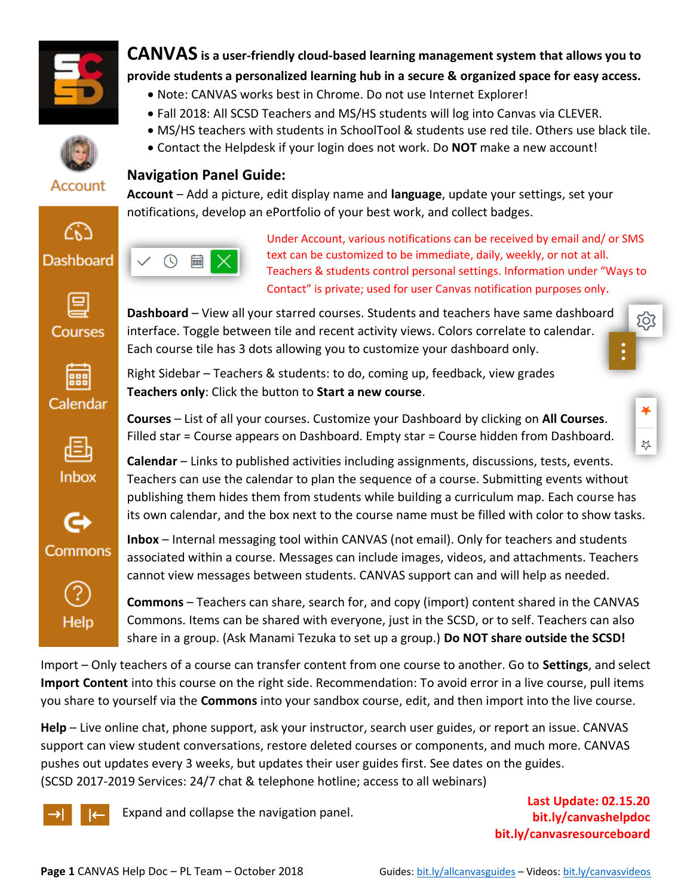

**CANVAS is a user-friendly cloud-based learning management system that allows you to provide students a personalized learning hub in a secure & organized space for easy access.**

- Note: CANVAS works best in Chrome. Do not use Internet Explorer!
- Fall 2018: All SCSD Teachers and MS/HS students will log into Canvas via CLEVER.
- MS/HS teachers with students in SchoolTool & students use red tile. Others use black tile.
- Contact the Helpdesk if your login does not work. Do **NOT** make a new account!



Account

#### **Navigation Panel Guide:**

**Account** – Add a picture, edit display name and **language**, update your settings, set your notifications, develop an ePortfolio of your best work, and collect badges.

**Dashboard** – View all your starred courses. Students and teachers have same dashboard interface. Toggle between tile and recent activity views. Colors correlate to calendar.

Each course tile has 3 dots allowing you to customize your dashboard only.

**Teachers only**: Click the button to **Start a new course**.

Right Sidebar – Teachers & students: to do, coming up, feedback, view grades





Under Account, various notifications can be received by email and/ or SMS text can be customized to be immediate, daily, weekly, or not at all. Teachers & students control personal settings. Information under "Ways to Contact" is private; used for user Canvas notification purposes only.



888













**Courses** – List of all your courses. Customize your Dashboard by clicking on **All Courses**. Filled star = Course appears on Dashboard. Empty star = Course hidden from Dashboard.

**Calendar** – Links to published activities including assignments, discussions, tests, events. Teachers can use the calendar to plan the sequence of a course. Submitting events without publishing them hides them from students while building a curriculum map. Each course has its own calendar, and the box next to the course name must be filled with color to show tasks.

**Inbox** – Internal messaging tool within CANVAS (not email). Only for teachers and students associated within a course. Messages can include images, videos, and attachments. Teachers cannot view messages between students. CANVAS support can and will help as needed.

**Commons** – Teachers can share, search for, and copy (import) content shared in the CANVAS Commons. Items can be shared with everyone, just in the SCSD, or to self. Teachers can also share in a group. (Ask Manami Tezuka to set up a group.) **Do NOT share outside the SCSD!**

Import – Only teachers of a course can transfer content from one course to another. Go to **Settings**, and select **Import Content** into this course on the right side. Recommendation: To avoid error in a live course, pull items you share to yourself via the **Commons** into your sandbox course, edit, and then import into the live course.

**Help** – Live online chat, phone support, ask your instructor, search user guides, or report an issue. CANVAS support can view student conversations, restore deleted courses or components, and much more. CANVAS pushes out updates every 3 weeks, but updates their user guides first. See dates on the guides. (SCSD 2017-2019 Services: 24/7 chat & telephone hotline; access to all webinars)



Expand and collapse the navigation panel.

**Last Update: 02.15.20 bit.ly/canvashelpdoc bit.ly/canvasresourceboard**

෭ඁ෨

43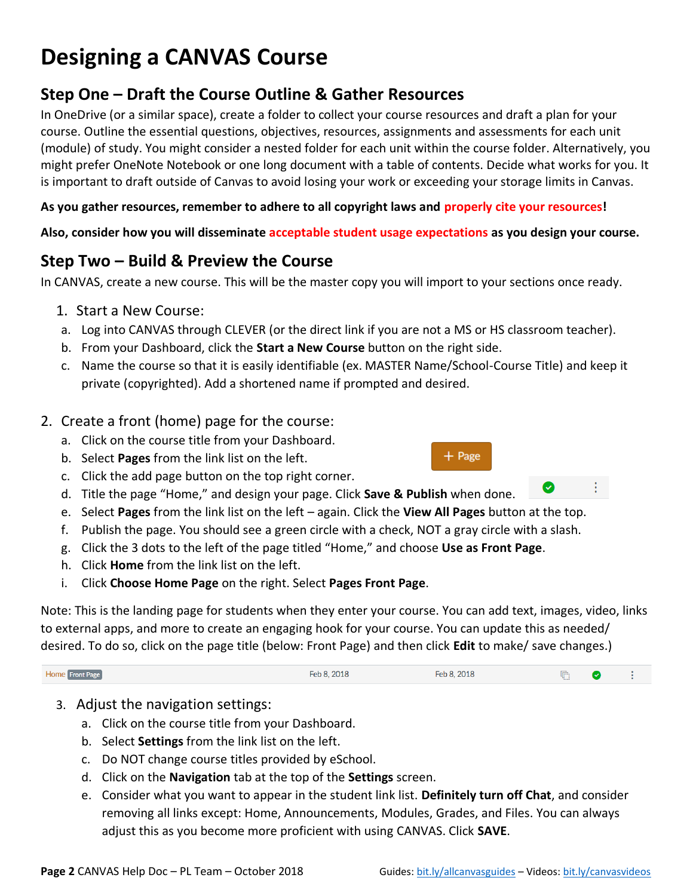# **Designing a CANVAS Course**

# **Step One – Draft the Course Outline & Gather Resources**

In OneDrive (or a similar space), create a folder to collect your course resources and draft a plan for your course. Outline the essential questions, objectives, resources, assignments and assessments for each unit (module) of study. You might consider a nested folder for each unit within the course folder. Alternatively, you might prefer OneNote Notebook or one long document with a table of contents. Decide what works for you. It is important to draft outside of Canvas to avoid losing your work or exceeding your storage limits in Canvas.

**As you gather resources, remember to adhere to all copyright laws and properly cite your resources!**

**Also, consider how you will disseminate acceptable student usage expectations as you design your course.** 

# **Step Two – Build & Preview the Course**

In CANVAS, create a new course. This will be the master copy you will import to your sections once ready.

- 1. Start a New Course:
- a. Log into CANVAS through CLEVER (or the direct link if you are not a MS or HS classroom teacher).
- b. From your Dashboard, click the **Start a New Course** button on the right side.
- c. Name the course so that it is easily identifiable (ex. MASTER Name/School-Course Title) and keep it private (copyrighted). Add a shortened name if prompted and desired.

### 2. Create a front (home) page for the course:

- a. Click on the course title from your Dashboard.
- b. Select **Pages** from the link list on the left.
- c. Click the add page button on the top right corner.
- d. Title the page "Home," and design your page. Click **Save & Publish** when done.
- e. Select **Pages** from the link list on the left again. Click the **View All Pages** button at the top.
- f. Publish the page. You should see a green circle with a check, NOT a gray circle with a slash.
- g. Click the 3 dots to the left of the page titled "Home," and choose **Use as Front Page**.
- h. Click **Home** from the link list on the left.
- i. Click **Choose Home Page** on the right. Select **Pages Front Page**.

Note: This is the landing page for students when they enter your course. You can add text, images, video, links to external apps, and more to create an engaging hook for your course. You can update this as needed/ desired. To do so, click on the page title (below: Front Page) and then click **Edit** to make/ save changes.)

Home Front Page Feb 8, 2018 Feb 8, 2018  $\mathbb{F}$ ◙ ÷

- 3. Adjust the navigation settings:
	- a. Click on the course title from your Dashboard.
	- b. Select **Settings** from the link list on the left.
	- c. Do NOT change course titles provided by eSchool.
	- d. Click on the **Navigation** tab at the top of the **Settings** screen.
	- e. Consider what you want to appear in the student link list. **Definitely turn off Chat**, and consider removing all links except: Home, Announcements, Modules, Grades, and Files. You can always adjust this as you become more proficient with using CANVAS. Click **SAVE**.

 $+$  Page

ŧ.

◙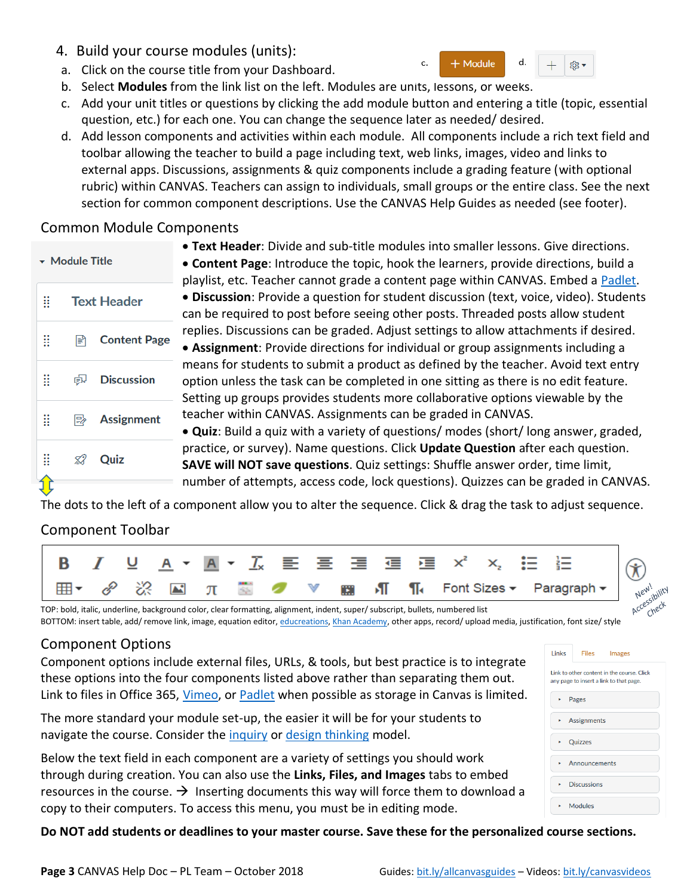- 4. Build your course modules (units):
- a. Click on the course title from your Dashboard.
- b. Select **Modules** from the link list on the left. Modules are units, lessons, or weeks.
- c. Add your unit titles or questions by clicking the add module button and entering a title (topic, essential question, etc.) for each one. You can change the sequence later as needed/ desired.
- d. Add lesson components and activities within each module. All components include a rich text field and toolbar allowing the teacher to build a page including text, web links, images, video and links to external apps. Discussions, assignments & quiz components include a grading feature (with optional rubric) within CANVAS. Teachers can assign to individuals, small groups or the entire class. See the next section for common component descriptions. Use the CANVAS Help Guides as needed (see footer).

# Common Module Components

| $\star$ Module Title      |                    |                       |  |  |
|---------------------------|--------------------|-----------------------|--|--|
| $\mathbf{H}^{\text{max}}$ | <b>Text Header</b> |                       |  |  |
|                           |                    | <b>■ Content Page</b> |  |  |
| π                         |                    | e Discussion          |  |  |
| Ħ                         |                    | <b>Assignment</b>     |  |  |
|                           |                    | <b>22 Quiz</b>        |  |  |
|                           |                    |                       |  |  |

• **Text Header**: Divide and sub-title modules into smaller lessons. Give directions. • **Content Page**: Introduce the topic, hook the learners, provide directions, build a playlist, etc. Teacher cannot grade a content page within CANVAS. Embed a [Padlet.](https://scsdpl.padlet.org/) • **Discussion**: Provide a question for student discussion (text, voice, video). Students can be required to post before seeing other posts. Threaded posts allow student replies. Discussions can be graded. Adjust settings to allow attachments if desired.

c.

+ Module

 $d$ .

® ▼

• **Assignment**: Provide directions for individual or group assignments including a means for students to submit a product as defined by the teacher. Avoid text entry option unless the task can be completed in one sitting as there is no edit feature. Setting up groups provides students more collaborative options viewable by the teacher within CANVAS. Assignments can be graded in CANVAS.

• **Quiz**: Build a quiz with a variety of questions/ modes (short/ long answer, graded, practice, or survey). Name questions. Click **Update Question** after each question. **SAVE will NOT save questions**. Quiz settings: Shuffle answer order, time limit, number of attempts, access code, lock questions). Quizzes can be graded in CANVAS.

The dots to the left of a component allow you to alter the sequence. Click & drag the task to adjust sequence.

# Component Toolbar



TOP: bold, italic, underline, background color, clear formatting, alignment, indent, super/ subscript, bullets, numbered list BOTTOM: insert table, add/ remove link, image, equation editor[, educreations,](https://www.educreations.com/) [Khan Academy,](https://www.khanacademy.org/) other apps, record/ upload media, justification, font size/ style

# Component Options

Component options include external files, URLs, & tools, but best practice is to integrate these options into the four components listed above rather than separating them out. Link to files in Office 365, [Vimeo,](https://vimeo.com/) or [Padlet](https://scsdpl.padlet.org/) when possible as storage in Canvas is limited.

The more standard your module set-up, the easier it will be for your students to navigate the course. Consider the [inquiry](https://www.google.com/url?sa=i&rct=j&q=&esrc=s&source=images&cd=&cad=rja&uact=8&ved=0ahUKEwjWs7nHquzYAhUBWa0KHb2oD6EQjRwIBw&url=https%3A%2F%2Frumseyhall.libguides.com%2Fc.php%3Fg%3D526607%26p%3D3600775&psig=AOvVaw3_MNf91tRiEU-bAb9RdIk0&ust=1516736673999331) or [design thinking](https://www.google.com/url?sa=i&rct=j&q=&esrc=s&source=images&cd=&cad=rja&uact=8&ved=0ahUKEwjezqX6quzYAhVLVK0KHRCUDZEQjRwIBw&url=https%3A%2F%2Fwww.nngroup.com%2Farticles%2Fdesign-thinking%2F&psig=AOvVaw2fzjCO6incNHpn_H2SBtfa&ust=1516736777912147) model.

Below the text field in each component are a variety of settings you should work through during creation. You can also use the **Links, Files, and Images** tabs to embed resources in the course.  $\rightarrow$  Inserting documents this way will force them to download a copy to their computers. To access this menu, you must be in editing mode.

Link to other content in the course. Click any page to insert a link to that page  $\triangleright$  Pages  $\overline{\phantom{a}}$  Assignments • Quizzes Announcements • Discussions

Images

Links

Files

 $\star$  Modules

**Do NOT add students or deadlines to your master course. Save these for the personalized course sections.**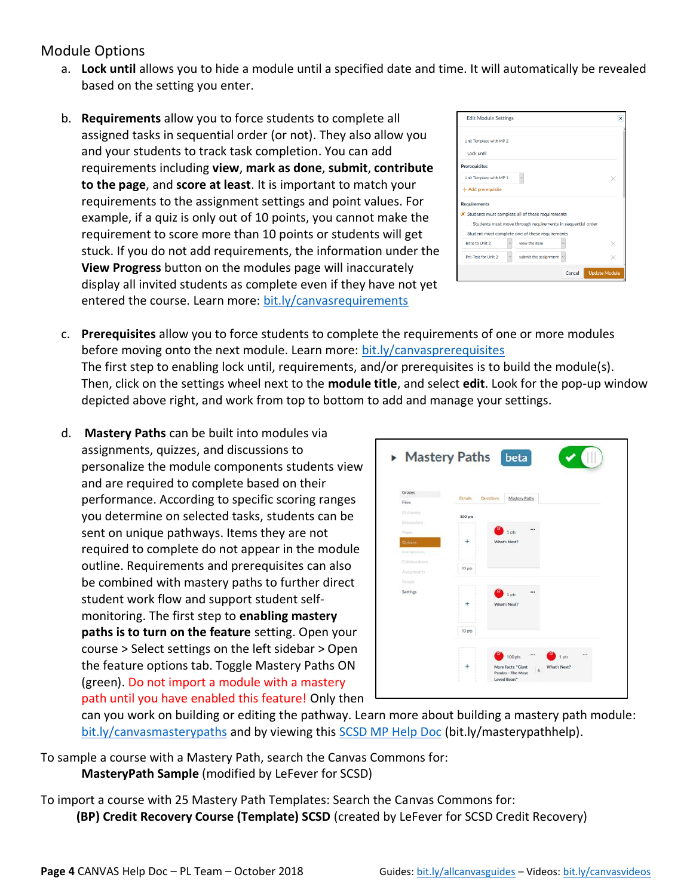### Module Options

- a. **Lock until** allows you to hide a module until a specified date and time. It will automatically be revealed based on the setting you enter.
- b. **Requirements** allow you to force students to complete all assigned tasks in sequential order (or not). They also allow you and your students to track task completion. You can add requirements including **view**, **mark as done**, **submit**, **contribute to the page**, and **score at least**. It is important to match your requirements to the assignment settings and point values. For example, if a quiz is only out of 10 points, you cannot make the requirement to score more than 10 points or students will get stuck. If you do not add requirements, the information under the **View Progress** button on the modules page will inaccurately display all invited students as complete even if they have not yet entered the course. Learn more: [bit.ly/canvasrequirements](https://bit.ly/canvasrequirements)

| <b>Edit Module Settings</b>                                 | $\times$             |
|-------------------------------------------------------------|----------------------|
| Unit Template with MP 2                                     |                      |
| Lock until                                                  |                      |
| <b>Prerequisites</b>                                        |                      |
| Unit Template with MP 1                                     |                      |
| $+$ Add prerequisite                                        |                      |
| <b>Requirements</b>                                         |                      |
| Students must complete all of these requirements            |                      |
| Students must move through requirements in sequential order |                      |
| Student must complete one of these requirements             |                      |
| view the item<br>Intro to Unit 2                            |                      |
| Pre-Test for Unit 2<br>submit the assignment<br>$\ddot{x}$  |                      |
| Cancel                                                      | <b>Update Module</b> |

- c. **Prerequisites** allow you to force students to complete the requirements of one or more modules before moving onto the next module. Learn more: [bit.ly/canvasprerequisites](https://bit.ly/canvasprerequisites) The first step to enabling lock until, requirements, and/or prerequisites is to build the module(s). Then, click on the settings wheel next to the **module title**, and select **edit**. Look for the pop-up window depicted above right, and work from top to bottom to add and manage your settings.
- d. **Mastery Paths** can be built into modules via assignments, quizzes, and discussions to personalize the module components students view and are required to complete based on their performance. According to specific scoring ranges you determine on selected tasks, students can be sent on unique pathways. Items they are not required to complete do not appear in the module outline. Requirements and prerequisites can also be combined with mastery paths to further direct student work flow and support student selfmonitoring. The first step to **enabling mastery paths is to turn on the feature** setting. Open your course > Select settings on the left sidebar > Open the feature options tab. Toggle Mastery Paths ON (green). Do not import a module with a mastery path until you have enabled this feature! Only then



can you work on building or editing the pathway. Learn more about building a mastery path module: [bit.ly/canvasmasterypaths](https://bit.ly/canvasmasterypaths) and by viewing this [SCSD MP Help Doc](https://scsd-my.sharepoint.com/:w:/g/personal/llefev74_scsd_us/ERD53WYdg7NNipZXLVxPb-EB5cL-vUfHw23-p2CMx2DFxg) (bit.ly/masterypathhelp).

To sample a course with a Mastery Path, search the Canvas Commons for: **MasteryPath Sample** (modified by LeFever for SCSD)

To import a course with 25 Mastery Path Templates: Search the Canvas Commons for: **(BP) Credit Recovery Course (Template) SCSD** (created by LeFever for SCSD Credit Recovery)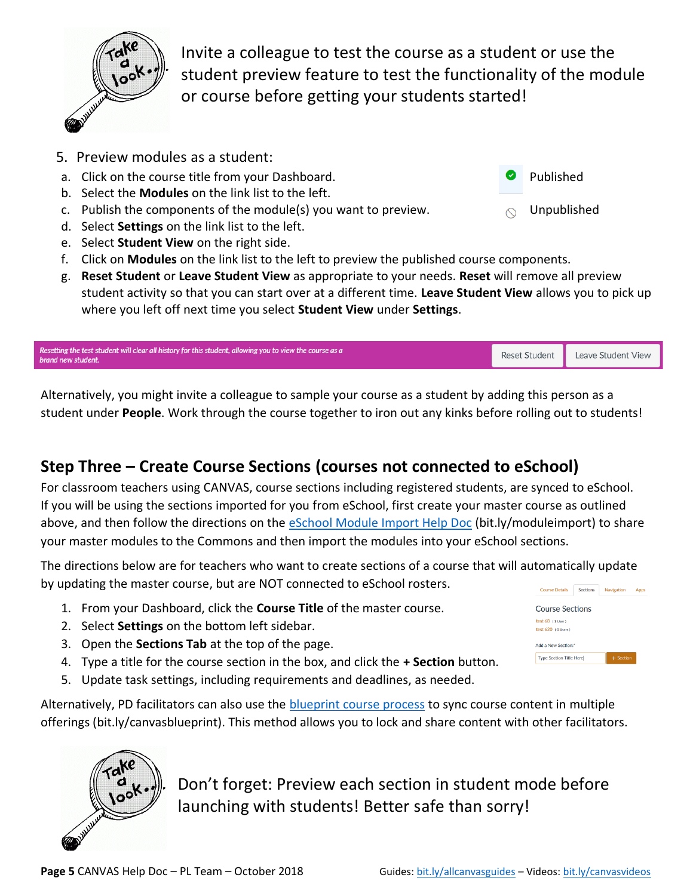

Invite a colleague to test the course as a student or use the student preview feature to test the functionality of the module or course before getting your students started!

- 5. Preview modules as a student:
- a. Click on the course title from your Dashboard. The example of the state of Published
- b. Select the **Modules** on the link list to the left.
- c. Publish the components of the module(s) you want to preview.  $\bigcirc$  Unpublished
- d. Select **Settings** on the link list to the left.
- e. Select **Student View** on the right side.
- f. Click on **Modules** on the link list to the left to preview the published course components.
- g. **Reset Student** or **Leave Student View** as appropriate to your needs. **Reset** will remove all preview student activity so that you can start over at a different time. **Leave Student View** allows you to pick up where you left off next time you select **Student View** under **Settings**.

| Resetting the test student will clear all history for this student, allowing you to view the course as a<br>brand new student. | Reset Student   Leave Student View |
|--------------------------------------------------------------------------------------------------------------------------------|------------------------------------|
|                                                                                                                                |                                    |

Alternatively, you might invite a colleague to sample your course as a student by adding this person as a student under **People**. Work through the course together to iron out any kinks before rolling out to students!

# **Step Three – Create Course Sections (courses not connected to eSchool)**

For classroom teachers using CANVAS, course sections including registered students, are synced to eSchool. If you will be using the sections imported for you from eSchool, first create your master course as outlined above, and then follow the directions on the **eSchool Module Import Help Doc** (bit.ly/moduleimport) to share your master modules to the Commons and then import the modules into your eSchool sections.

The directions below are for teachers who want to create sections of a course that will automatically update by updating the master course, but are NOT connected to eSchool rosters.

- 1. From your Dashboard, click the **Course Title** of the master course.
- 2. Select **Settings** on the bottom left sidebar.
- 3. Open the **Sections Tab** at the top of the page.
- 4. Type a title for the course section in the box, and click the **+ Section** button.
- 5. Update task settings, including requirements and deadlines, as needed.

Alternatively, PD facilitators can also use the [blueprint course process](https://bit.ly/canvasblueprint) to sync course content in multiple offerings (bit.ly/canvasblueprint). This method allows you to lock and share content with other facilitators.



Don't forget: Preview each section in student mode before launching with students! Better safe than sorry!

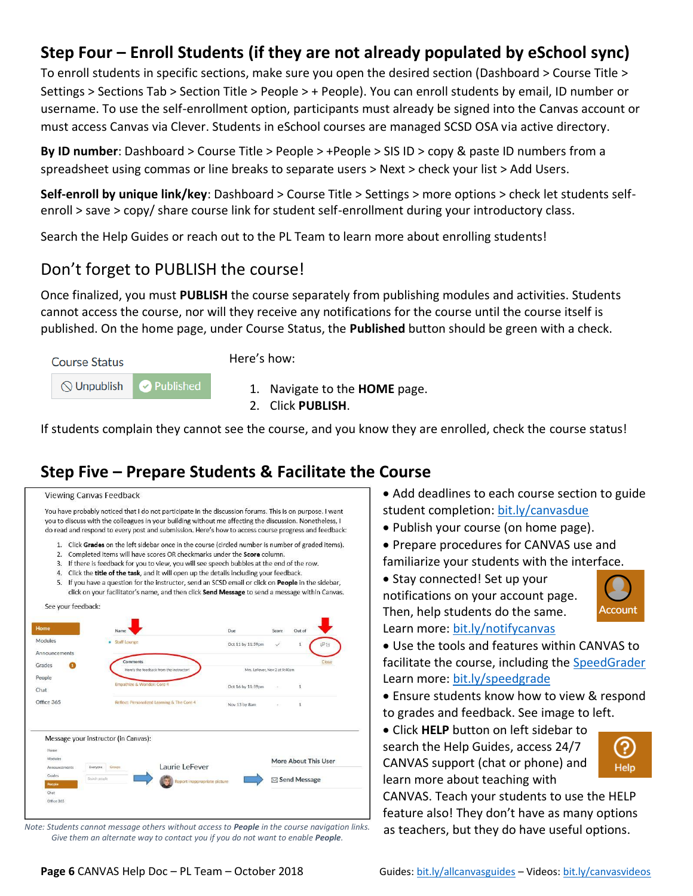# **Step Four – Enroll Students (if they are not already populated by eSchool sync)**

To enroll students in specific sections, make sure you open the desired section (Dashboard > Course Title > Settings > Sections Tab > Section Title > People > + People). You can enroll students by email, ID number or username. To use the self-enrollment option, participants must already be signed into the Canvas account or must access Canvas via Clever. Students in eSchool courses are managed SCSD OSA via active directory.

**By ID number**: Dashboard > Course Title > People > +People > SIS ID > copy & paste ID numbers from a spreadsheet using commas or line breaks to separate users > Next > check your list > Add Users.

**Self-enroll by unique link/key**: Dashboard > Course Title > Settings > more options > check let students selfenroll > save > copy/ share course link for student self-enrollment during your introductory class.

Search the Help Guides or reach out to the PL Team to learn more about enrolling students!

# Don't forget to PUBLISH the course!

Once finalized, you must **PUBLISH** the course separately from publishing modules and activities. Students cannot access the course, nor will they receive any notifications for the course until the course itself is published. On the home page, under Course Status, the **Published** button should be green with a check.



Here's how:

- 1. Navigate to the **HOME** page.
- 2. Click **PUBLISH**.

If students complain they cannot see the course, and you know they are enrolled, check the course status!

# **Step Five – Prepare Students & Facilitate the Course**



*Note: Students cannot message others without access to People in the course navigation links. Give them an alternate way to contact you if you do not want to enable People.*

- Add deadlines to each course section to guide student completion: bit.ly/c[anvasdue](https://bit.ly/canvasdue)
- Publish your course (on home page).
- Prepare procedures for CANVAS use and familiarize your students with the interface.

• Stay connected! Set up your notifications on your account page. Then, help students do the same. Learn more: bit.ly/[notifycanvas](https://bit.ly/notifycanvas)



• Use the tools and features within CANVAS to facilitate the course, including the S[peedGrader](https://bit.ly/speedgrade) Learn more: bit.ly/[speedgrade](https://bit.ly/speedgrade)

• Ensure students know how to view & respond to grades and feedback. See image to left.

• Click **HELP** button on left sidebar to search the Help Guides, access 24/7 CANVAS support (chat or phone) and learn more about teaching with



CANVAS. Teach your students to use the HELP feature also! They don't have as many options as teachers, but they do have useful options.